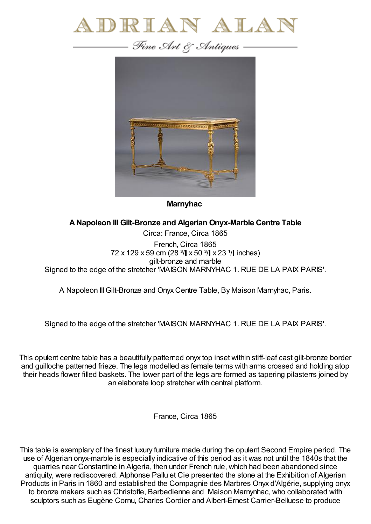

— Fine Art & Antiques —



**Marnyhac**

## **ANapoleon III Gilt-Bronze and Algerian Onyx-Marble Centre Table**

Circa: France, Circa 1865 French, Circa 1865 72 x 129 x 59 cm (28  $\frac{3}{1}$  x 50  $\frac{3}{1}$  x 23  $\frac{1}{1}$  inches) gilt-bronze and marble Signed to the edge of the stretcher 'MAISON MARNYHAC 1. RUE DE LA PAIX PARIS'.

A Napoleon III Gilt-Bronze and Onyx Centre Table, By Maison Marnyhac, Paris.

Signed to the edge of the stretcher 'MAISON MARNYHAC 1. RUE DE LA PAIX PARIS'.

This opulent centre table has a beautifully patterned onyx top inset within stiff-leaf cast gilt-bronze border and guilloche patterned frieze. The legs modelled as female terms with arms crossed and holding atop their heads flower filled baskets. The lower part of the legs are formed as tapering pilasterrs joined by an elaborate loop stretcher with central platform.

France, Circa 1865

This table is exemplary of the finest luxury furniture made during the opulent Second Empire period. The use of Algerian onyx-marble is especially indicative of this period as it was not until the 1840s that the quarries near Constantine in Algeria, then under French rule, which had been abandoned since antiquity, were rediscovered. Alphonse Pallu et Cie presented the stone at the Exhibition of Algerian Products in Paris in 1860 and established the Compagnie des Marbres Onyx d'Algérie, supplying onyx to bronze makers such as Christofle, Barbedienne and Maison Marnynhac, who collaborated with sculptors such as Eugène Cornu, Charles Cordier and Albert-Ernest Carrier-Belluese to produce